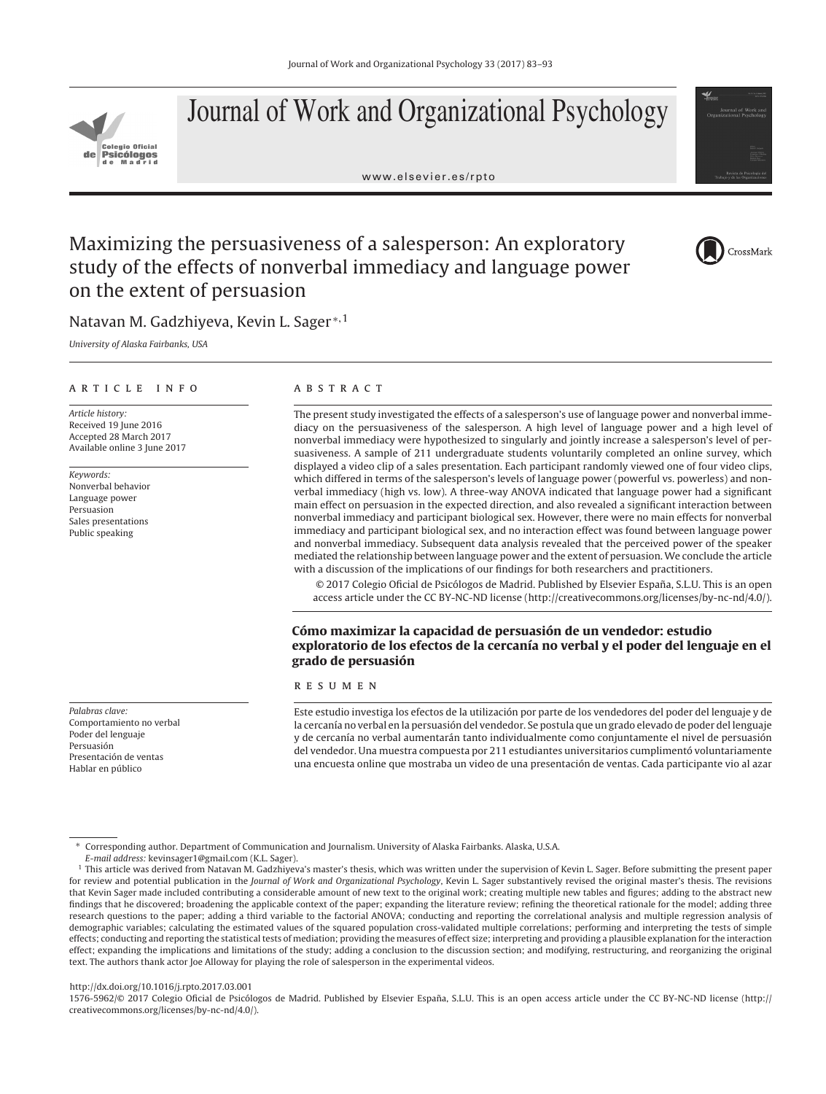.<br>olegio Oficial **Psicólogos**<br>de Madrid

Journal of Work and Organizational Psychology

www.elsevier.es/rpto



# Maximizing the persuasiveness of a salesperson: An exploratory study of the effects of nonverbal immediacy and language power on the extent of persuasion



Natavan M. Gadzhiyeva, Kevin L. Sager <sup>∗</sup>,<sup>1</sup>

University of Alaska Fairbanks, USA

### article info

Article history: Received 19 June 2016 Accepted 28 March 2017 Available online 3 June 2017

Keywords: Nonverbal behavior Language power Persuasion Sales presentations Public speaking

# **ABSTRACT**

The present study investigated the effects of a salesperson's use of language power and nonverbal immediacy on the persuasiveness of the salesperson. A high level of language power and a high level of nonverbal immediacy were hypothesized to singularly and jointly increase a salesperson's level of persuasiveness. A sample of 211 undergraduate students voluntarily completed an online survey, which displayed a video clip of a sales presentation. Each participant randomly viewed one of four video clips, which differed in terms of the salesperson's levels of language power (powerful vs. powerless) and nonverbal immediacy (high vs. low). A three-way ANOVA indicated that language power had a significant main effect on persuasion in the expected direction, and also revealed a significant interaction between nonverbal immediacy and participant biological sex. However, there were no main effects for nonverbal immediacy and participant biological sex, and no interaction effect was found between language power and nonverbal immediacy. Subsequent data analysis revealed that the perceived power of the speaker mediated the relationship between language power and the extent of persuasion. We conclude the article with a discussion of the implications of our findings for both researchers and practitioners.

© 2017 Colegio Oficial de Psicólogos de Madrid. Published by Elsevier España, S.L.U. This is an open access article under the CC BY-NC-ND license (http://creativecommons.org/licenses/by-nc-nd/4.0/).

# **Cómo maximizar la capacidad de persuasión de un vendedor: estudio exploratorio de los efectos de la cercanía no verbal y el poder del lenguaje en el grado de persuasión**

# resumen

Este estudio investiga los efectos de la utilización por parte de los vendedores del poder del lenguaje y de la cercanía no verbal en la persuasión del vendedor. Se postula que un grado elevado de poder del lenguaje y de cercanía no verbal aumentarán tanto individualmente como conjuntamente el nivel de persuasión del vendedor. Una muestra compuesta por 211 estudiantes universitarios cumplimentó voluntariamente una encuesta online que mostraba un video de una presentación de ventas. Cada participante vio al azar

Palabras clave: Comportamiento no verbal Poder del lenguaje Persuasión Presentación de ventas Hablar en público

E-mail address: kevinsager1@gmail.com (K.L. Sager).

http://dx.doi.org/10.1016/j.rpto.2017.03.001

<sup>∗</sup> Corresponding author. Department of Communication and Journalism. University of Alaska Fairbanks. Alaska, U.S.A.

<sup>&</sup>lt;sup>1</sup> This article was derived from Natavan M. Gadzhiyeva's master's thesis, which was written under the supervision of Kevin L. Sager. Before submitting the present paper for review and potential publication in the Journal of Work and Organizational Psychology, Kevin L. Sager substantively revised the original master's thesis. The revisions that Kevin Sager made included contributing a considerable amount of new text to the original work; creating multiple new tables and figures; adding to the abstract new findings that he discovered; broadening the applicable context of the paper; expanding the literature review; refining the theoretical rationale for the model; adding three research questions to the paper; adding a third variable to the factorial ANOVA; conducting and reporting the correlational analysis and multiple regression analysis of demographic variables; calculating the estimated values of the squared population cross-validated multiple correlations; performing and interpreting the tests of simple effects; conducting and reporting the statistical tests of mediation; providing the measures of effect size; interpreting and providing a plausible explanation for the interaction effect; expanding the implications and limitations of the study; adding a conclusion to the discussion section; and modifying, restructuring, and reorganizing the original text. The authors thank actor Joe Alloway for playing the role of salesperson in the experimental videos.

<sup>1576-5962/© 2017</sup> Colegio Oficial de Psicólogos de Madrid. Published by Elsevier España, S.L.U. This is an open access article under the CC BY-NC-ND license (http:// creativecommons.org/licenses/by-nc-nd/4.0/).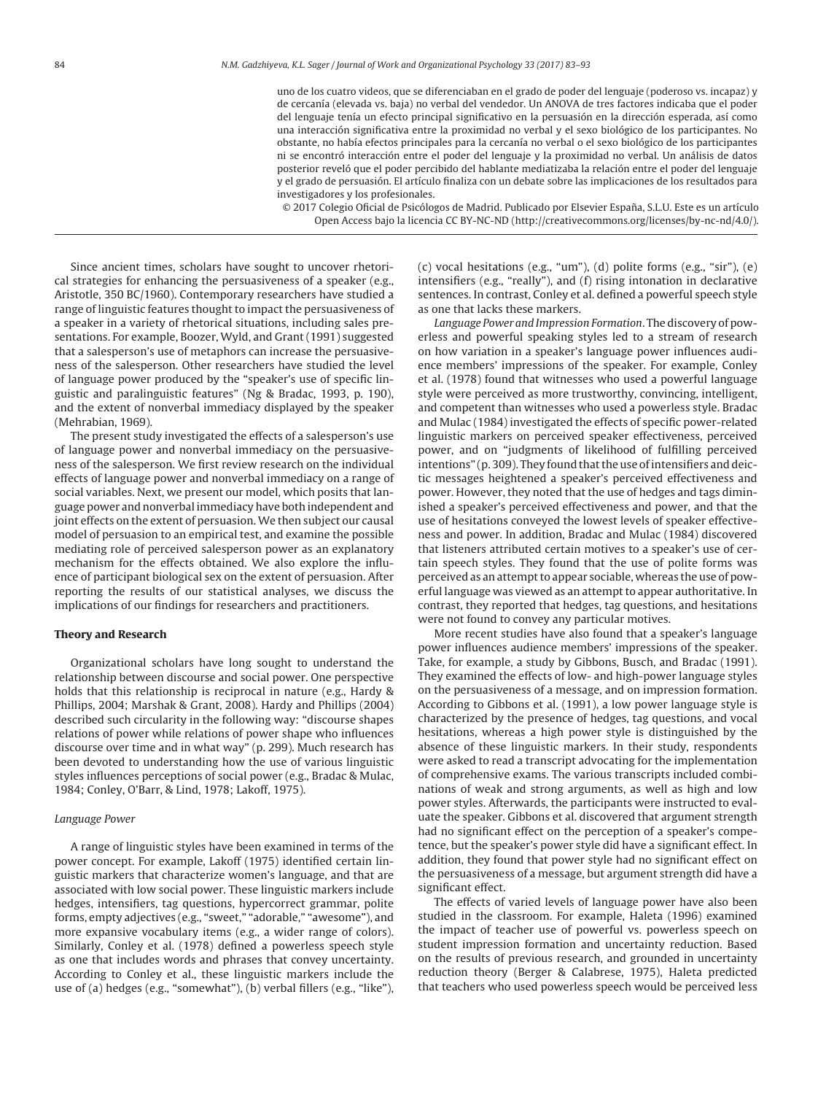uno de los cuatro videos, que se diferenciaban en el grado de poder del lenguaje (poderoso vs. incapaz) y de cercanía (elevada vs. baja) no verbal del vendedor. Un ANOVA de tres factores indicaba que el poder del lenguaje tenía un efecto principal significativo en la persuasión en la dirección esperada, así como una interacción significativa entre la proximidad no verbal y el sexo biológico de los participantes. No obstante, no había efectos principales para la cercanía no verbal o el sexo biológico de los participantes ni se encontró interacción entre el poder del lenguaje y la proximidad no verbal. Un análisis de datos posterior reveló que el poder percibido del hablante mediatizaba la relación entre el poder del lenguaje y el grado de persuasión. El artículo finaliza con un debate sobre las implicaciones de los resultados para investigadores y los profesionales.

© 2017 Colegio Oficial de Psicólogos de Madrid. Publicado por Elsevier España, S.L.U. Este es un artículo Open Access bajo la licencia CC BY-NC-ND (http://creativecommons.org/licenses/by-nc-nd/4.0/).

Since ancient times, scholars have sought to uncover rhetorical strategies for enhancing the persuasiveness of a speaker (e.g., Aristotle, 350 BC/1960). Contemporary researchers have studied a range of linguistic features thought to impact the persuasiveness of a speaker in a variety of rhetorical situations, including sales presentations. For example, Boozer, Wyld, and Grant (1991) suggested that a salesperson's use of metaphors can increase the persuasiveness of the salesperson. Other researchers have studied the level of language power produced by the "speaker's use of specific linguistic and paralinguistic features" (Ng & Bradac, 1993, p. 190), and the extent of nonverbal immediacy displayed by the speaker (Mehrabian, 1969).

The present study investigated the effects of a salesperson's use of language power and nonverbal immediacy on the persuasiveness of the salesperson. We first review research on the individual effects of language power and nonverbal immediacy on a range of social variables. Next, we present our model, which posits that language power and nonverbal immediacy have both independent and joint effects on the extent of persuasion. We then subject our causal model of persuasion to an empirical test, and examine the possible mediating role of perceived salesperson power as an explanatory mechanism for the effects obtained. We also explore the influence of participant biological sex on the extent of persuasion. After reporting the results of our statistical analyses, we discuss the implications of our findings for researchers and practitioners.

# **Theory and Research**

Organizational scholars have long sought to understand the relationship between discourse and social power. One perspective holds that this relationship is reciprocal in nature (e.g., Hardy & Phillips, 2004; Marshak & Grant, 2008). Hardy and Phillips (2004) described such circularity in the following way: "discourse shapes relations of power while relations of power shape who influences discourse over time and in what way" (p. 299). Much research has been devoted to understanding how the use of various linguistic styles influences perceptions of social power (e.g., Bradac & Mulac, 1984; Conley, O'Barr, & Lind, 1978; Lakoff, 1975).

#### Language Power

A range of linguistic styles have been examined in terms of the power concept. For example, Lakoff (1975) identified certain linguistic markers that characterize women's language, and that are associated with low social power. These linguistic markers include hedges, intensifiers, tag questions, hypercorrect grammar, polite forms, empty adjectives (e.g., "sweet," "adorable," "awesome"), and more expansive vocabulary items (e.g., a wider range of colors). Similarly, Conley et al. (1978) defined a powerless speech style as one that includes words and phrases that convey uncertainty. According to Conley et al., these linguistic markers include the use of (a) hedges (e.g., "somewhat"), (b) verbal fillers (e.g., "like"),  $(c)$  vocal hesitations (e.g., "um"), (d) polite forms (e.g., "sir"),  $(e)$ intensifiers (e.g., "really"), and (f) rising intonation in declarative sentences. In contrast, Conley et al. defined a powerful speech style as one that lacks these markers.

Language Power and Impression Formation. The discovery of powerless and powerful speaking styles led to a stream of research on how variation in a speaker's language power influences audience members' impressions of the speaker. For example, Conley et al. (1978) found that witnesses who used a powerful language style were perceived as more trustworthy, convincing, intelligent, and competent than witnesses who used a powerless style. Bradac and Mulac (1984) investigated the effects of specific power-related linguistic markers on perceived speaker effectiveness, perceived power, and on "judgments of likelihood of fulfilling perceived intentions" (p. 309). They found that the use of intensifiers and deictic messages heightened a speaker's perceived effectiveness and power. However, they noted that the use of hedges and tags diminished a speaker's perceived effectiveness and power, and that the use of hesitations conveyed the lowest levels of speaker effectiveness and power. In addition, Bradac and Mulac (1984) discovered that listeners attributed certain motives to a speaker's use of certain speech styles. They found that the use of polite forms was perceived as an attempt to appear sociable, whereas the use of powerful language was viewed as an attempt to appear authoritative. In contrast, they reported that hedges, tag questions, and hesitations were not found to convey any particular motives.

More recent studies have also found that a speaker's language power influences audience members' impressions of the speaker. Take, for example, a study by Gibbons, Busch, and Bradac (1991). They examined the effects of low- and high-power language styles on the persuasiveness of a message, and on impression formation. According to Gibbons et al. (1991), a low power language style is characterized by the presence of hedges, tag questions, and vocal hesitations, whereas a high power style is distinguished by the absence of these linguistic markers. In their study, respondents were asked to read a transcript advocating for the implementation of comprehensive exams. The various transcripts included combinations of weak and strong arguments, as well as high and low power styles. Afterwards, the participants were instructed to evaluate the speaker. Gibbons et al. discovered that argument strength had no significant effect on the perception of a speaker's competence, but the speaker's power style did have a significant effect. In addition, they found that power style had no significant effect on the persuasiveness of a message, but argument strength did have a significant effect.

The effects of varied levels of language power have also been studied in the classroom. For example, Haleta (1996) examined the impact of teacher use of powerful vs. powerless speech on student impression formation and uncertainty reduction. Based on the results of previous research, and grounded in uncertainty reduction theory (Berger & Calabrese, 1975), Haleta predicted that teachers who used powerless speech would be perceived less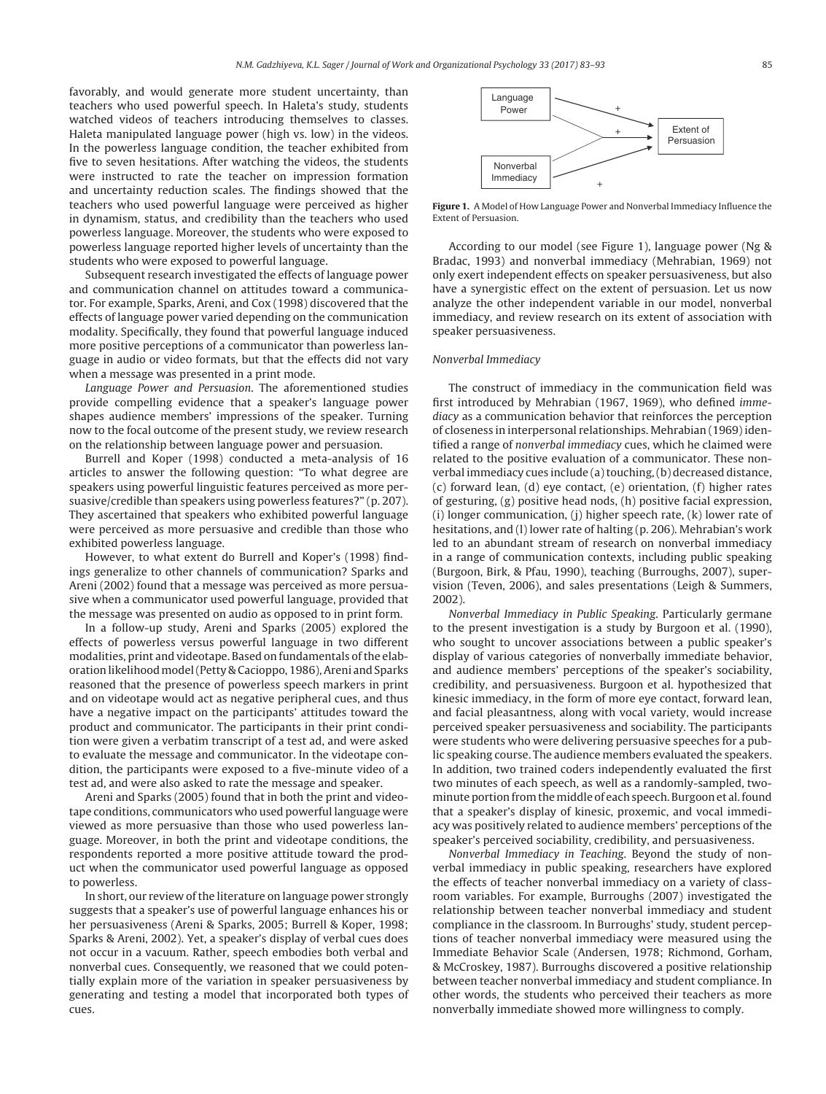favorably, and would generate more student uncertainty, than teachers who used powerful speech. In Haleta's study, students watched videos of teachers introducing themselves to classes. Haleta manipulated language power (high vs. low) in the videos. In the powerless language condition, the teacher exhibited from five to seven hesitations. After watching the videos, the students were instructed to rate the teacher on impression formation and uncertainty reduction scales. The findings showed that the teachers who used powerful language were perceived as higher in dynamism, status, and credibility than the teachers who used powerless language. Moreover, the students who were exposed to powerless language reported higher levels of uncertainty than the students who were exposed to powerful language.

Subsequent research investigated the effects of language power and communication channel on attitudes toward a communicator. For example, Sparks, Areni, and Cox (1998) discovered that the effects of language power varied depending on the communication modality. Specifically, they found that powerful language induced more positive perceptions of a communicator than powerless language in audio or video formats, but that the effects did not vary when a message was presented in a print mode.

Language Power and Persuasion. The aforementioned studies provide compelling evidence that a speaker's language power shapes audience members' impressions of the speaker. Turning now to the focal outcome of the present study, we review research on the relationship between language power and persuasion.

Burrell and Koper (1998) conducted a meta-analysis of 16 articles to answer the following question: "To what degree are speakers using powerful linguistic features perceived as more persuasive/credible than speakers using powerless features?" (p. 207). They ascertained that speakers who exhibited powerful language were perceived as more persuasive and credible than those who exhibited powerless language.

However, to what extent do Burrell and Koper's (1998) findings generalize to other channels of communication? Sparks and Areni (2002) found that a message was perceived as more persuasive when a communicator used powerful language, provided that the message was presented on audio as opposed to in print form.

In a follow-up study, Areni and Sparks (2005) explored the effects of powerless versus powerful language in two different modalities, print and videotape. Based on fundamentals of the elaboration likelihoodmodel (Petty & Cacioppo, 1986), Areni and Sparks reasoned that the presence of powerless speech markers in print and on videotape would act as negative peripheral cues, and thus have a negative impact on the participants' attitudes toward the product and communicator. The participants in their print condition were given a verbatim transcript of a test ad, and were asked to evaluate the message and communicator. In the videotape condition, the participants were exposed to a five-minute video of a test ad, and were also asked to rate the message and speaker.

Areni and Sparks (2005) found that in both the print and videotape conditions, communicators who used powerful language were viewed as more persuasive than those who used powerless language. Moreover, in both the print and videotape conditions, the respondents reported a more positive attitude toward the product when the communicator used powerful language as opposed to powerless.

In short, our review of the literature on language power strongly suggests that a speaker's use of powerful language enhances his or her persuasiveness (Areni & Sparks, 2005; Burrell & Koper, 1998; Sparks & Areni, 2002). Yet, a speaker's display of verbal cues does not occur in a vacuum. Rather, speech embodies both verbal and nonverbal cues. Consequently, we reasoned that we could potentially explain more of the variation in speaker persuasiveness by generating and testing a model that incorporated both types of cues.



**Figure 1.** A Model of How Language Power and Nonverbal Immediacy Influence the Extent of Persuasion.

According to our model (see Figure 1), language power (Ng & Bradac, 1993) and nonverbal immediacy (Mehrabian, 1969) not only exert independent effects on speaker persuasiveness, but also have a synergistic effect on the extent of persuasion. Let us now analyze the other independent variable in our model, nonverbal immediacy, and review research on its extent of association with speaker persuasiveness.

# Nonverbal Immediacy

The construct of immediacy in the communication field was first introduced by Mehrabian (1967, 1969), who defined immediacy as a communication behavior that reinforces the perception of closeness in interpersonal relationships. Mehrabian (1969) identified a range of nonverbal immediacy cues, which he claimed were related to the positive evaluation of a communicator. These nonverbal immediacy cues include (a) touching, (b) decreased distance, (c) forward lean, (d) eye contact, (e) orientation, (f) higher rates of gesturing, (g) positive head nods, (h) positive facial expression, (i) longer communication, (j) higher speech rate, (k) lower rate of hesitations, and (l) lower rate of halting (p. 206). Mehrabian's work led to an abundant stream of research on nonverbal immediacy in a range of communication contexts, including public speaking (Burgoon, Birk, & Pfau, 1990), teaching (Burroughs, 2007), supervision (Teven, 2006), and sales presentations (Leigh & Summers, 2002).

Nonverbal Immediacy in Public Speaking. Particularly germane to the present investigation is a study by Burgoon et al. (1990), who sought to uncover associations between a public speaker's display of various categories of nonverbally immediate behavior, and audience members' perceptions of the speaker's sociability, credibility, and persuasiveness. Burgoon et al. hypothesized that kinesic immediacy, in the form of more eye contact, forward lean, and facial pleasantness, along with vocal variety, would increase perceived speaker persuasiveness and sociability. The participants were students who were delivering persuasive speeches for a public speaking course. The audience members evaluated the speakers. In addition, two trained coders independently evaluated the first two minutes of each speech, as well as a randomly-sampled, twominute portion from the middle of each speech. Burgoon et al. found that a speaker's display of kinesic, proxemic, and vocal immediacy was positively related to audience members' perceptions of the speaker's perceived sociability, credibility, and persuasiveness.

Nonverbal Immediacy in Teaching. Beyond the study of nonverbal immediacy in public speaking, researchers have explored the effects of teacher nonverbal immediacy on a variety of classroom variables. For example, Burroughs (2007) investigated the relationship between teacher nonverbal immediacy and student compliance in the classroom. In Burroughs' study, student perceptions of teacher nonverbal immediacy were measured using the Immediate Behavior Scale (Andersen, 1978; Richmond, Gorham, & McCroskey, 1987). Burroughs discovered a positive relationship between teacher nonverbal immediacy and student compliance. In other words, the students who perceived their teachers as more nonverbally immediate showed more willingness to comply.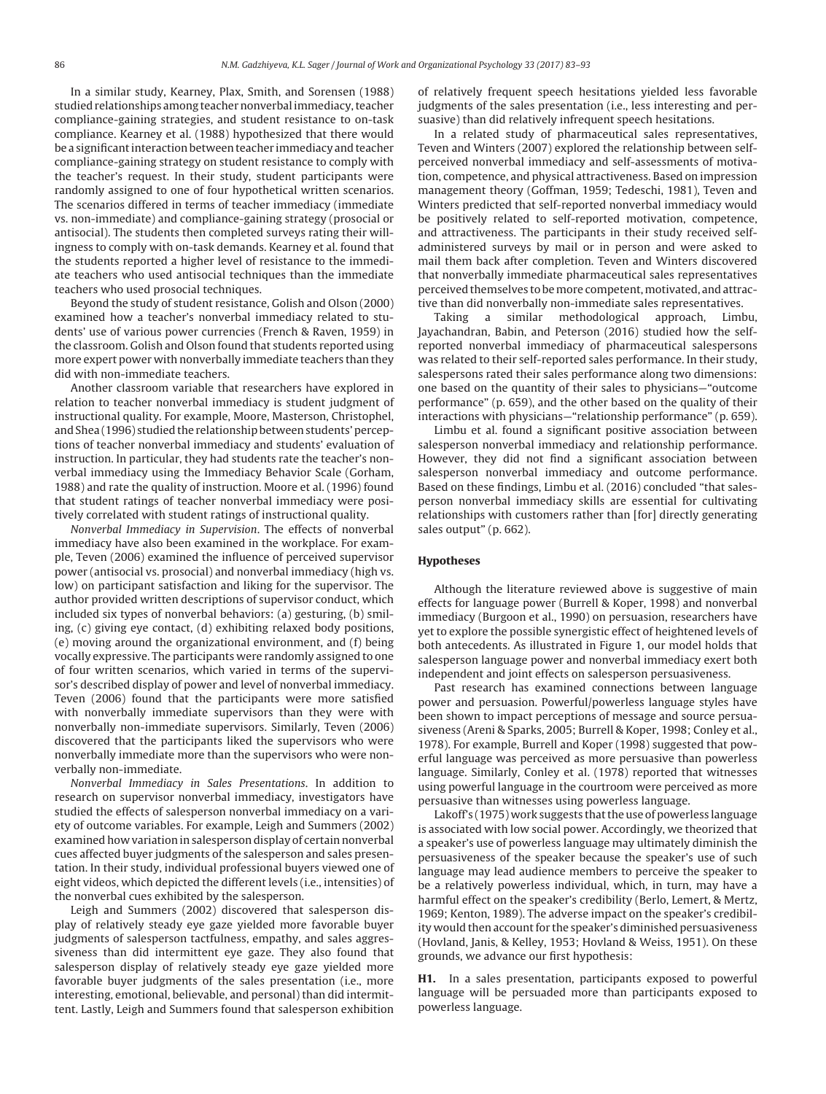In a similar study, Kearney, Plax, Smith, and Sorensen (1988) studied relationships among teacher nonverbal immediacy, teacher compliance-gaining strategies, and student resistance to on-task compliance. Kearney et al. (1988) hypothesized that there would be a significant interaction between teacher immediacy and teacher compliance-gaining strategy on student resistance to comply with the teacher's request. In their study, student participants were randomly assigned to one of four hypothetical written scenarios. The scenarios differed in terms of teacher immediacy (immediate vs. non-immediate) and compliance-gaining strategy (prosocial or antisocial). The students then completed surveys rating their willingness to comply with on-task demands. Kearney et al. found that the students reported a higher level of resistance to the immediate teachers who used antisocial techniques than the immediate teachers who used prosocial techniques.

Beyond the study of student resistance, Golish and Olson (2000) examined how a teacher's nonverbal immediacy related to students' use of various power currencies (French & Raven, 1959) in the classroom. Golish and Olson found that students reported using more expert power with nonverbally immediate teachers than they did with non-immediate teachers.

Another classroom variable that researchers have explored in relation to teacher nonverbal immediacy is student judgment of instructional quality. For example, Moore, Masterson, Christophel, and Shea (1996) studied the relationship between students' perceptions of teacher nonverbal immediacy and students' evaluation of instruction. In particular, they had students rate the teacher's nonverbal immediacy using the Immediacy Behavior Scale (Gorham, 1988) and rate the quality of instruction. Moore et al. (1996) found that student ratings of teacher nonverbal immediacy were positively correlated with student ratings of instructional quality.

Nonverbal Immediacy in Supervision. The effects of nonverbal immediacy have also been examined in the workplace. For example, Teven (2006) examined the influence of perceived supervisor power (antisocial vs. prosocial) and nonverbal immediacy (high vs. low) on participant satisfaction and liking for the supervisor. The author provided written descriptions of supervisor conduct, which included six types of nonverbal behaviors: (a) gesturing, (b) smiling, (c) giving eye contact, (d) exhibiting relaxed body positions, (e) moving around the organizational environment, and (f) being vocally expressive. The participants were randomly assigned to one of four written scenarios, which varied in terms of the supervisor's described display of power and level of nonverbal immediacy. Teven (2006) found that the participants were more satisfied with nonverbally immediate supervisors than they were with nonverbally non-immediate supervisors. Similarly, Teven (2006) discovered that the participants liked the supervisors who were nonverbally immediate more than the supervisors who were nonverbally non-immediate.

Nonverbal Immediacy in Sales Presentations. In addition to research on supervisor nonverbal immediacy, investigators have studied the effects of salesperson nonverbal immediacy on a variety of outcome variables. For example, Leigh and Summers (2002) examined how variation in salesperson display of certain nonverbal cues affected buyer judgments of the salesperson and sales presentation. In their study, individual professional buyers viewed one of eight videos, which depicted the different levels (i.e., intensities) of the nonverbal cues exhibited by the salesperson.

Leigh and Summers (2002) discovered that salesperson display of relatively steady eye gaze yielded more favorable buyer judgments of salesperson tactfulness, empathy, and sales aggressiveness than did intermittent eye gaze. They also found that salesperson display of relatively steady eye gaze yielded more favorable buyer judgments of the sales presentation (i.e., more interesting, emotional, believable, and personal) than did intermittent. Lastly, Leigh and Summers found that salesperson exhibition

of relatively frequent speech hesitations yielded less favorable judgments of the sales presentation (*i.e.*, less interesting and persuasive) than did relatively infrequent speech hesitations.

In a related study of pharmaceutical sales representatives, Teven and Winters (2007) explored the relationship between selfperceived nonverbal immediacy and self-assessments of motivation, competence, and physical attractiveness. Based on impression management theory (Goffman, 1959; Tedeschi, 1981), Teven and Winters predicted that self-reported nonverbal immediacy would be positively related to self-reported motivation, competence, and attractiveness. The participants in their study received selfadministered surveys by mail or in person and were asked to mail them back after completion. Teven and Winters discovered that nonverbally immediate pharmaceutical sales representatives perceived themselves to be more competent, motivated, and attractive than did nonverbally non-immediate sales representatives.

Taking a similar methodological approach, Limbu, Jayachandran, Babin, and Peterson (2016) studied how the selfreported nonverbal immediacy of pharmaceutical salespersons was related to their self-reported sales performance. In their study, salespersons rated their sales performance along two dimensions: one based on the quantity of their sales to physicians—"outcome performance" (p. 659), and the other based on the quality of their interactions with physicians—"relationship performance" (p. 659).

Limbu et al. found a significant positive association between salesperson nonverbal immediacy and relationship performance. However, they did not find a significant association between salesperson nonverbal immediacy and outcome performance. Based on these findings, Limbu et al. (2016) concluded "that salesperson nonverbal immediacy skills are essential for cultivating relationships with customers rather than [for] directly generating sales output" (p. 662).

# **Hypotheses**

Although the literature reviewed above is suggestive of main effects for language power (Burrell & Koper, 1998) and nonverbal immediacy (Burgoon et al., 1990) on persuasion, researchers have yet to explore the possible synergistic effect of heightened levels of both antecedents. As illustrated in Figure 1, our model holds that salesperson language power and nonverbal immediacy exert both independent and joint effects on salesperson persuasiveness.

Past research has examined connections between language power and persuasion. Powerful/powerless language styles have been shown to impact perceptions of message and source persuasiveness (Areni & Sparks, 2005; Burrell & Koper, 1998; Conley et al., 1978). For example, Burrell and Koper (1998) suggested that powerful language was perceived as more persuasive than powerless language. Similarly, Conley et al. (1978) reported that witnesses using powerful language in the courtroom were perceived as more persuasive than witnesses using powerless language.

Lakoff's (1975) work suggests that the use of powerless language is associated with low social power. Accordingly, we theorized that a speaker's use of powerless language may ultimately diminish the persuasiveness of the speaker because the speaker's use of such language may lead audience members to perceive the speaker to be a relatively powerless individual, which, in turn, may have a harmful effect on the speaker's credibility (Berlo, Lemert, & Mertz, 1969; Kenton, 1989). The adverse impact on the speaker's credibility would then account for the speaker's diminished persuasiveness (Hovland, Janis, & Kelley, 1953; Hovland & Weiss, 1951). On these grounds, we advance our first hypothesis:

**H1.** In a sales presentation, participants exposed to powerful language will be persuaded more than participants exposed to powerless language.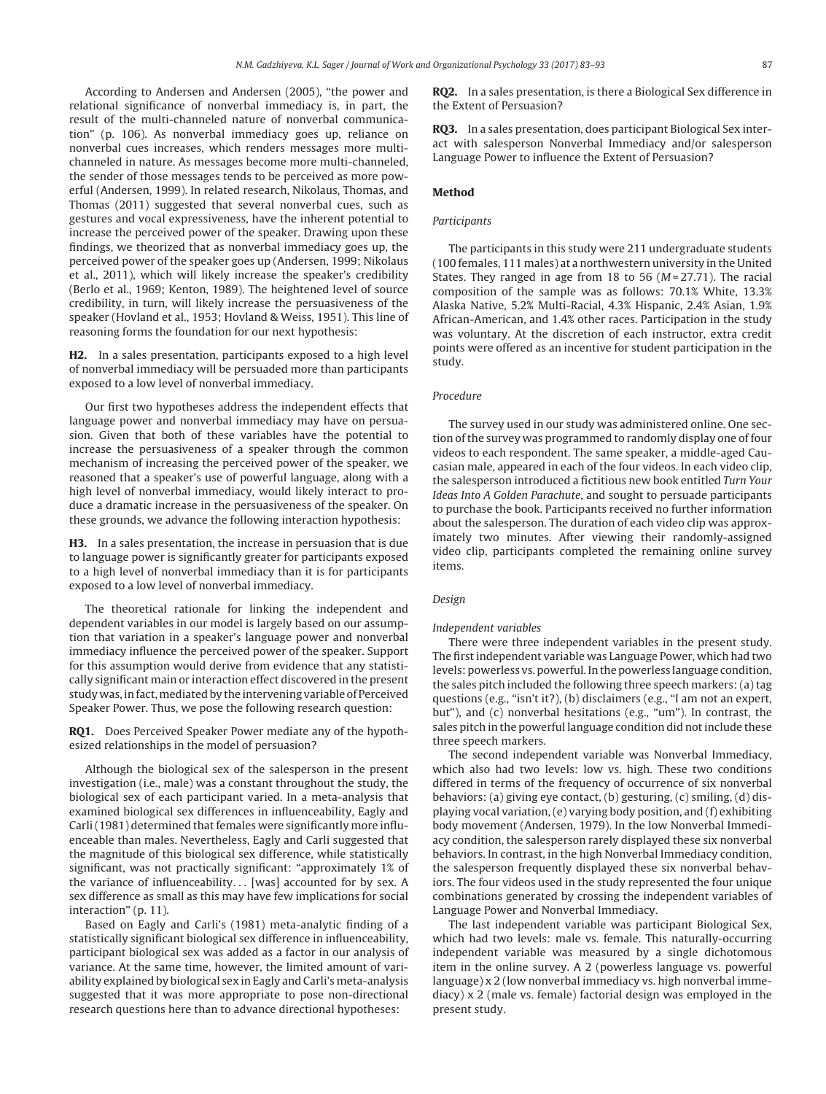According to Andersen and Andersen (2005), "the power and relational significance of nonverbal immediacy is, in part, the result of the multi-channeled nature of nonverbal communication" (p. 106). As nonverbal immediacy goes up, reliance on nonverbal cues increases, which renders messages more multichanneled in nature. As messages become more multi-channeled, the sender of those messages tends to be perceived as more powerful (Andersen, 1999). In related research, Nikolaus, Thomas, and Thomas (2011) suggested that several nonverbal cues, such as gestures and vocal expressiveness, have the inherent potential to increase the perceived power of the speaker. Drawing upon these findings, we theorized that as nonverbal immediacy goes up, the perceived power of the speaker goes up (Andersen, 1999; Nikolaus et al., 2011), which will likely increase the speaker's credibility (Berlo et al., 1969; Kenton, 1989). The heightened level of source credibility, in turn, will likely increase the persuasiveness of the speaker (Hovland et al., 1953; Hovland & Weiss, 1951). This line of reasoning forms the foundation for our next hypothesis:

**H2.** In a sales presentation, participants exposed to a high level of nonverbal immediacy will be persuaded more than participants exposed to a low level of nonverbal immediacy.

Our first two hypotheses address the independent effects that language power and nonverbal immediacy may have on persuasion. Given that both of these variables have the potential to increase the persuasiveness of a speaker through the common mechanism of increasing the perceived power of the speaker, we reasoned that a speaker's use of powerful language, along with a high level of nonverbal immediacy, would likely interact to produce a dramatic increase in the persuasiveness of the speaker. On these grounds, we advance the following interaction hypothesis:

**H3.** In a sales presentation, the increase in persuasion that is due to language power is significantly greater for participants exposed to a high level of nonverbal immediacy than it is for participants exposed to a low level of nonverbal immediacy.

The theoretical rationale for linking the independent and dependent variables in our model is largely based on our assumption that variation in a speaker's language power and nonverbal immediacy influence the perceived power of the speaker. Support for this assumption would derive from evidence that any statistically significant main or interaction effect discovered in the present study was, in fact, mediated by the intervening variable of Perceived Speaker Power. Thus, we pose the following research question:

**RQ1.** Does Perceived Speaker Power mediate any of the hypothesized relationships in the model of persuasion?

Although the biological sex of the salesperson in the present investigation (i.e., male) was a constant throughout the study, the biological sex of each participant varied. In a meta-analysis that examined biological sex differences in influenceability, Eagly and Carli (1981) determined that females were significantly more influenceable than males. Nevertheless, Eagly and Carli suggested that the magnitude of this biological sex difference, while statistically significant, was not practically significant: "approximately 1% of the variance of influenceability... [was] accounted for by sex. A sex difference as small as this may have few implications for social interaction" (p. 11).

Based on Eagly and Carli's (1981) meta-analytic finding of a statistically significant biological sex difference in influenceability, participant biological sex was added as a factor in our analysis of variance. At the same time, however, the limited amount of variability explained by biological sex in Eagly and Carli's meta-analysis suggested that it was more appropriate to pose non-directional research questions here than to advance directional hypotheses:

**RQ2.** In a sales presentation, is there a Biological Sex difference in the Extent of Persuasion?

**RQ3.** In a sales presentation, does participant Biological Sex interact with salesperson Nonverbal Immediacy and/or salesperson Language Power to influence the Extent of Persuasion?

# **Method**

## **Participants**

The participants in this study were 211 undergraduate students (100 females, 111 males) at a northwestern university in the United States. They ranged in age from 18 to 56  $(M=27.71)$ . The racial composition of the sample was as follows: 70.1% White, 13.3% Alaska Native, 5.2% Multi-Racial, 4.3% Hispanic, 2.4% Asian, 1.9% African-American, and 1.4% other races. Participation in the study was voluntary. At the discretion of each instructor, extra credit points were offered as an incentive for student participation in the study.

#### Procedure

The survey used in our study was administered online. One section of the survey was programmed to randomly display one of four videos to each respondent. The same speaker, a middle-aged Caucasian male, appeared in each of the four videos. In each video clip, the salesperson introduced a fictitious new book entitled Turn Your Ideas Into A Golden Parachute, and sought to persuade participants to purchase the book. Participants received no further information about the salesperson. The duration of each video clip was approximately two minutes. After viewing their randomly-assigned video clip, participants completed the remaining online survey items.

# Design

#### Independent variables

There were three independent variables in the present study. The first independent variable was Language Power, which had two levels: powerless vs. powerful. In the powerless language condition, the sales pitch included the following three speech markers: (a) tag questions (e.g., "isn't it?), (b) disclaimers (e.g., "I am not an expert, but"), and (c) nonverbal hesitations (e.g., "um"). In contrast, the sales pitch in the powerful language condition did not include these three speech markers.

The second independent variable was Nonverbal Immediacy, which also had two levels: low vs. high. These two conditions differed in terms of the frequency of occurrence of six nonverbal behaviors: (a) giving eye contact, (b) gesturing, (c) smiling, (d) displaying vocal variation, (e) varying body position, and (f) exhibiting body movement (Andersen, 1979). In the low Nonverbal Immediacy condition, the salesperson rarely displayed these six nonverbal behaviors. In contrast, in the high Nonverbal Immediacy condition, the salesperson frequently displayed these six nonverbal behaviors. The four videos used in the study represented the four unique combinations generated by crossing the independent variables of Language Power and Nonverbal Immediacy.

The last independent variable was participant Biological Sex, which had two levels: male vs. female. This naturally-occurring independent variable was measured by a single dichotomous item in the online survey. A 2 (powerless language vs. powerful language) x 2 (low nonverbal immediacy vs. high nonverbal immediacy) x 2 (male vs. female) factorial design was employed in the present study.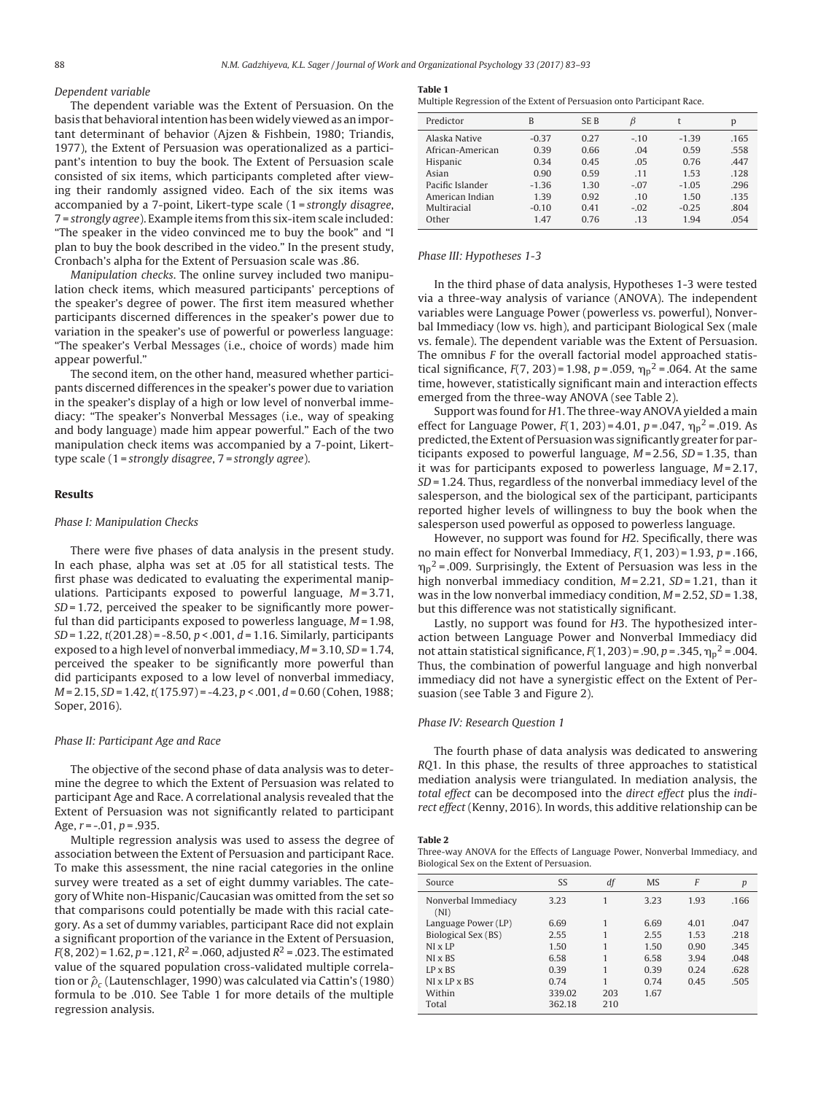#### Dependent variable

The dependent variable was the Extent of Persuasion. On the basis that behavioral intention has been widely viewed as an important determinant of behavior (Ajzen & Fishbein, 1980; Triandis, 1977), the Extent of Persuasion was operationalized as a participant's intention to buy the book. The Extent of Persuasion scale consisted of six items, which participants completed after viewing their randomly assigned video. Each of the six items was accompanied by a 7-point, Likert-type scale (1 = strongly disagree, 7 = strongly agree). Example items from this six-item scale included: "The speaker in the video convinced me to buy the book" and "I plan to buy the book described in the video." In the present study, Cronbach's alpha for the Extent of Persuasion scale was .86.

Manipulation checks. The online survey included two manipulation check items, which measured participants' perceptions of the speaker's degree of power. The first item measured whether participants discerned differences in the speaker's power due to variation in the speaker's use of powerful or powerless language: "The speaker's Verbal Messages (i.e., choice of words) made him appear powerful."

The second item, on the other hand, measured whether participants discerned differences in the speaker's power due to variation in the speaker's display of a high or low level of nonverbal immediacy: "The speaker's Nonverbal Messages (i.e., way of speaking and body language) made him appear powerful." Each of the two manipulation check items was accompanied by a 7-point, Likerttype scale ( $1 =$ strongly disagree,  $7 =$ strongly agree).

# **Results**

# Phase I: Manipulation Checks

There were five phases of data analysis in the present study. In each phase, alpha was set at .05 for all statistical tests. The first phase was dedicated to evaluating the experimental manipulations. Participants exposed to powerful language,  $M = 3.71$ ,  $SD = 1.72$ , perceived the speaker to be significantly more powerful than did participants exposed to powerless language,  $M = 1.98$ ,  $SD = 1.22$ ,  $t(201.28) = -8.50$ ,  $p < .001$ ,  $d = 1.16$ . Similarly, participants exposed to a high level of nonverbal immediacy,  $M = 3.10$ ,  $SD = 1.74$ , perceived the speaker to be significantly more powerful than did participants exposed to a low level of nonverbal immediacy,  $M = 2.15$ ,  $SD = 1.42$ ,  $t(175.97) = -4.23$ ,  $p < .001$ ,  $d = 0.60$  (Cohen, 1988; Soper, 2016).

# Phase II: Participant Age and Race

The objective of the second phase of data analysis was to determine the degree to which the Extent of Persuasion was related to participant Age and Race. A correlational analysis revealed that the Extent of Persuasion was not significantly related to participant Age,  $r = -0.01$ ,  $p = 0.935$ .

Multiple regression analysis was used to assess the degree of association between the Extent of Persuasion and participant Race. To make this assessment, the nine racial categories in the online survey were treated as a set of eight dummy variables. The category of White non-Hispanic/Caucasian was omitted from the set so that comparisons could potentially be made with this racial category. As a set of dummy variables, participant Race did not explain a significant proportion of the variance in the Extent of Persuasion,  $F(8, 202) = 1.62$ ,  $p = .121$ ,  $R^2 = .060$ , adjusted  $R^2 = .023$ . The estimated value of the squared population cross-validated multiple correlation or  $\widehat{\rho}_{\mathrm{c}}$  (Lautenschlager, 1990) was calculated via Cattin's (1980) formula to be .010. See Table 1 for more details of the multiple regression analysis.

## **Table 1**

Multiple Regression of the Extent of Persuasion onto Participant Race.

| Predictor        | B       | SE <sub>B</sub> | β      | t       | p    |
|------------------|---------|-----------------|--------|---------|------|
| Alaska Native    | $-0.37$ | 0.27            | $-.10$ | $-1.39$ | .165 |
| African-American | 0.39    | 0.66            | .04    | 0.59    | .558 |
| Hispanic         | 0.34    | 0.45            | .05    | 0.76    | .447 |
| Asian            | 0.90    | 0.59            | .11    | 1.53    | .128 |
| Pacific Islander | $-1.36$ | 1.30            | $-.07$ | $-1.05$ | .296 |
| American Indian  | 1.39    | 0.92            | .10    | 1.50    | .135 |
| Multiracial      | $-0.10$ | 0.41            | $-.02$ | $-0.25$ | .804 |
| Other            | 1.47    | 0.76            | .13    | 1.94    | .054 |
|                  |         |                 |        |         |      |

# Phase III: Hypotheses 1-3

In the third phase of data analysis, Hypotheses 1-3 were tested via a three-way analysis of variance (ANOVA). The independent variables were Language Power (powerless vs. powerful), Nonverbal Immediacy (low vs. high), and participant Biological Sex (male vs. female). The dependent variable was the Extent of Persuasion. The omnibus F for the overall factorial model approached statistical significance,  $F(7, 203) = 1.98$ ,  $p = .059$ ,  $\eta_p^2 = .064$ . At the same time, however, statistically significant main and interaction effects emerged from the three-way ANOVA (see Table 2).

Support was found for H1. The three-way ANOVA yielded a main effect for Language Power,  $F(1, 203) = 4.01$ ,  $p = .047$ ,  $\eta_p^2 = .019$ . As predicted, the Extent of Persuasion was significantly greater for participants exposed to powerful language,  $M = 2.56$ ,  $SD = 1.35$ , than it was for participants exposed to powerless language,  $M = 2.17$ , SD = 1.24. Thus, regardless of the nonverbal immediacy level of the salesperson, and the biological sex of the participant, participants reported higher levels of willingness to buy the book when the salesperson used powerful as opposed to powerless language.

However, no support was found for H2. Specifically, there was no main effect for Nonverbal Immediacy,  $F(1, 203)$  = 1.93,  $p = 0.166$ ,  $\eta_p^2$  = .009. Surprisingly, the Extent of Persuasion was less in the high nonverbal immediacy condition,  $M = 2.21$ ,  $SD = 1.21$ , than it was in the low nonverbal immediacy condition,  $M = 2.52$ ,  $SD = 1.38$ , but this difference was not statistically significant.

Lastly, no support was found for H3. The hypothesized interaction between Language Power and Nonverbal Immediacy did not attain statistical significance,  $F(1, 203)$  = .90, p = .345,  $\eta_p^2$  = .004. Thus, the combination of powerful language and high nonverbal immediacy did not have a synergistic effect on the Extent of Persuasion (see Table 3 and Figure 2).

# Phase IV: Research Question 1

The fourth phase of data analysis was dedicated to answering RQ1. In this phase, the results of three approaches to statistical mediation analysis were triangulated. In mediation analysis, the total effect can be decomposed into the direct effect plus the indirect effect (Kenny, 2016). In words, this additive relationship can be

#### **Table 2**

Three-way ANOVA for the Effects of Language Power, Nonverbal Immediacy, and Biological Sex on the Extent of Persuasion.

| Source                      | SS     | df  | <b>MS</b> | F    | $\boldsymbol{p}$ |
|-----------------------------|--------|-----|-----------|------|------------------|
| Nonverbal Immediacy<br>(NI) | 3.23   |     | 3.23      | 1.93 | .166             |
| Language Power (LP)         | 6.69   |     | 6.69      | 4.01 | .047             |
| Biological Sex (BS)         | 2.55   |     | 2.55      | 1.53 | .218             |
| $NI \times LP$              | 1.50   | 1   | 1.50      | 0.90 | .345             |
| $NI \times BS$              | 6.58   |     | 6.58      | 3.94 | .048             |
| $LP \times BS$              | 0.39   | 1   | 0.39      | 0.24 | .628             |
| $NI \times LP \times BS$    | 0.74   | 1   | 0.74      | 0.45 | .505             |
| Within                      | 339.02 | 203 | 1.67      |      |                  |
| Total                       | 362.18 | 210 |           |      |                  |
|                             |        |     |           |      |                  |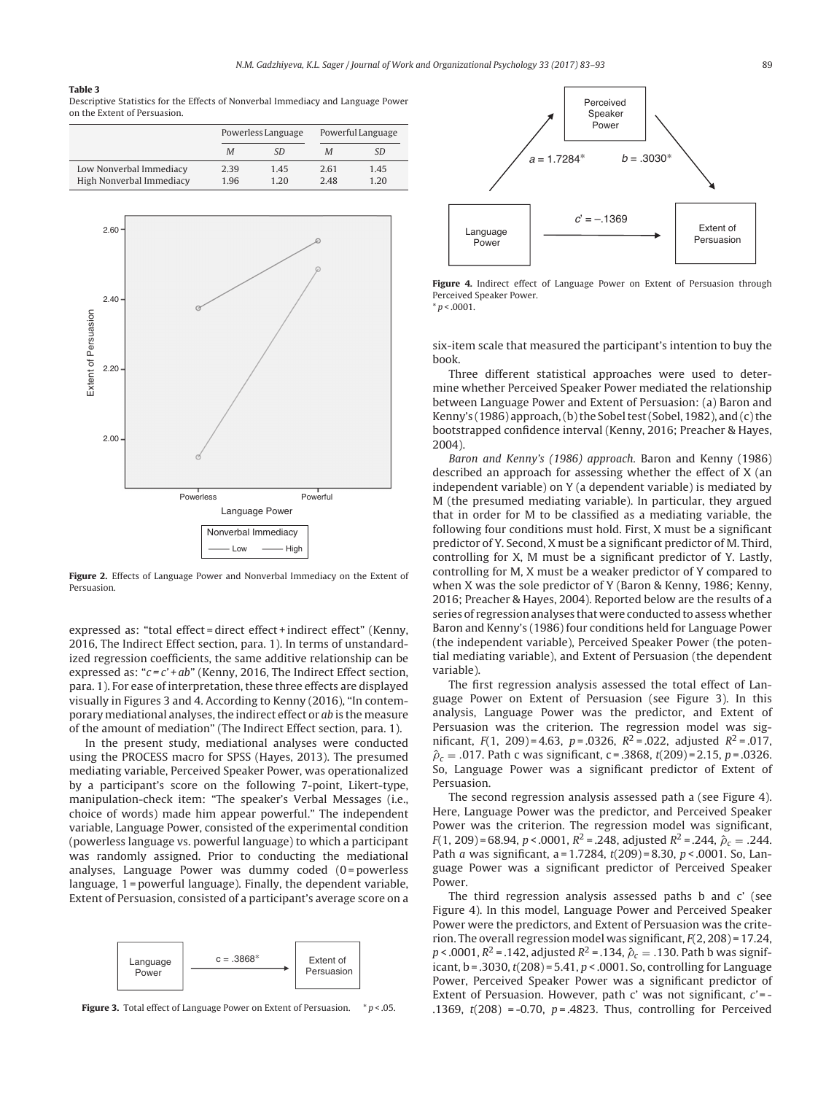#### **Table 3**

Descriptive Statistics for the Effects of Nonverbal Immediacy and Language Power on the Extent of Persuasion.

|                                                     | Powerless Language |              | Powerful Language |              |
|-----------------------------------------------------|--------------------|--------------|-------------------|--------------|
|                                                     | M                  | SD           | M                 | SD           |
| Low Nonverbal Immediacy<br>High Nonverbal Immediacy | 2.39<br>1.96       | 1.45<br>1.20 | 2.61<br>2.48      | 1.45<br>1.20 |



**Figure 2.** Effects of Language Power and Nonverbal Immediacy on the Extent of Persuasion.

expressed as: "total effect = direct effect + indirect effect" (Kenny, 2016, The Indirect Effect section, para. 1). In terms of unstandardized regression coefficients, the same additive relationship can be expressed as: " $c = c' + ab$ " (Kenny, 2016, The Indirect Effect section, para. 1). For ease of interpretation, these three effects are displayed visually in Figures 3 and 4. According to Kenny (2016), "In contemporary mediational analyses, the indirect effect or ab is the measure of the amount of mediation" (The Indirect Effect section, para. 1).

In the present study, mediational analyses were conducted using the PROCESS macro for SPSS (Hayes, 2013). The presumed mediating variable, Perceived Speaker Power, was operationalized by a participant's score on the following 7-point, Likert-type, manipulation-check item: "The speaker's Verbal Messages (i.e., choice of words) made him appear powerful." The independent variable, Language Power, consisted of the experimental condition (powerless language vs. powerful language) to which a participant was randomly assigned. Prior to conducting the mediational analyses, Language Power was dummy coded (0 = powerless language, 1 = powerful language). Finally, the dependent variable, Extent of Persuasion, consisted of a participant's average score on a



**Figure 3.** Total effect of Language Power on Extent of Persuasion  $* n < 05$ .



**Figure 4.** Indirect effect of Language Power on Extent of Persuasion through Perceived Speaker Power.  $* n < 0001$ 

six-item scale that measured the participant's intention to buy the book.

Three different statistical approaches were used to determine whether Perceived Speaker Power mediated the relationship between Language Power and Extent of Persuasion: (a) Baron and Kenny's (1986) approach, (b) the Sobel test (Sobel, 1982), and (c) the bootstrapped confidence interval (Kenny, 2016; Preacher & Hayes, 2004).

Baron and Kenny's (1986) approach. Baron and Kenny (1986) described an approach for assessing whether the effect of X (an independent variable) on Y (a dependent variable) is mediated by M (the presumed mediating variable). In particular, they argued that in order for M to be classified as a mediating variable, the following four conditions must hold. First, X must be a significant predictor of Y. Second, X must be a significant predictor of M. Third, controlling for X, M must be a significant predictor of Y. Lastly, controlling for M, X must be a weaker predictor of Y compared to when X was the sole predictor of Y (Baron & Kenny, 1986; Kenny, 2016; Preacher & Hayes, 2004). Reported below are the results of a series of regression analyses that were conducted to assess whether Baron and Kenny's (1986) four conditions held for Language Power (the independent variable), Perceived Speaker Power (the potential mediating variable), and Extent of Persuasion (the dependent variable).

The first regression analysis assessed the total effect of Language Power on Extent of Persuasion (see Figure 3). In this analysis, Language Power was the predictor, and Extent of Persuasion was the criterion. The regression model was significant,  $F(1, 209) = 4.63$ ,  $p = .0326$ ,  $R^2 = .022$ , adjusted  $R^2 = .017$ ,  $\hat{\rho}_c = .017$ . Path c was significant, c = .3868, t(209) = 2.15, p = .0326. So, Language Power was a significant predictor of Extent of Persuasion.

The second regression analysis assessed path a (see Figure 4). Here, Language Power was the predictor, and Perceived Speaker Power was the criterion. The regression model was significant,  $F(1, 209)$  = 68.94, p < .0001,  $R^2$  = .248, adjusted  $R^2$  = .244,  $\hat{\rho}_c = .244$ . Path *a* was significant, a = 1.7284,  $t(209) = 8.30$ ,  $p < .0001$ . So, Language Power was a significant predictor of Perceived Speaker Power.

The third regression analysis assessed paths b and c' (see Figure 4). In this model, Language Power and Perceived Speaker Power were the predictors, and Extent of Persuasion was the criterion. The overall regression model was significant,  $F(2, 208) = 17.24$ ,  $p < .0001$ ,  $R^2 = .142$ , adjusted  $R^2 = .134$ ,  $\hat{\rho}_c = .130$ . Path b was significant, b = .3030,  $t(208) = 5.41$ ,  $p < .0001$ . So, controlling for Language Power, Perceived Speaker Power was a significant predictor of Extent of Persuasion. However, path c' was not significant,  $c' = -$ .1369,  $t(208) = -0.70$ ,  $p = .4823$ . Thus, controlling for Perceived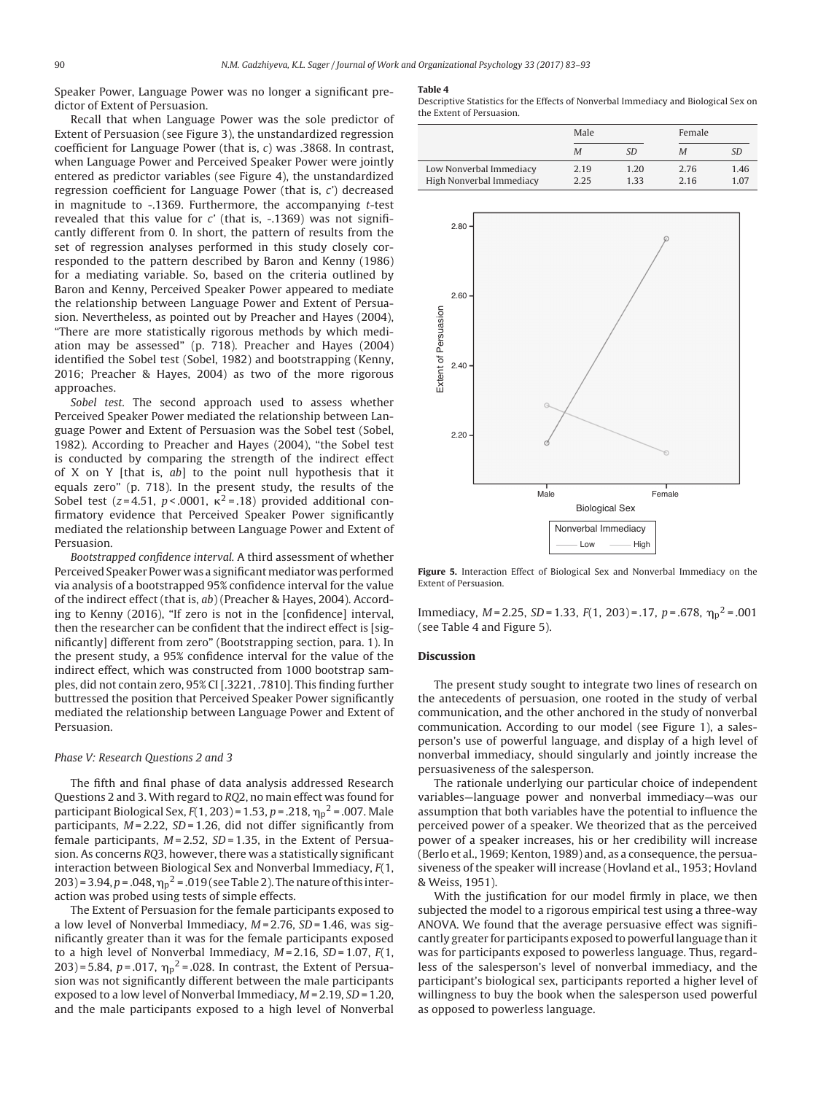Speaker Power, Language Power was no longer a significant predictor of Extent of Persuasion.

Recall that when Language Power was the sole predictor of Extent of Persuasion (see Figure 3), the unstandardized regression coefficient for Language Power (that is, c) was .3868. In contrast, when Language Power and Perceived Speaker Power were jointly entered as predictor variables (see Figure 4), the unstandardized regression coefficient for Language Power (that is, c') decreased in magnitude to  $-1369$ . Furthermore, the accompanying t-test revealed that this value for  $c'$  (that is, -.1369) was not significantly different from 0. In short, the pattern of results from the set of regression analyses performed in this study closely corresponded to the pattern described by Baron and Kenny (1986) for a mediating variable. So, based on the criteria outlined by Baron and Kenny, Perceived Speaker Power appeared to mediate the relationship between Language Power and Extent of Persuasion. Nevertheless, as pointed out by Preacher and Hayes (2004), "There are more statistically rigorous methods by which mediation may be assessed" (p. 718). Preacher and Hayes (2004) identified the Sobel test (Sobel, 1982) and bootstrapping (Kenny, 2016; Preacher & Hayes, 2004) as two of the more rigorous approaches.

Sobel test. The second approach used to assess whether Perceived Speaker Power mediated the relationship between Language Power and Extent of Persuasion was the Sobel test (Sobel, 1982). According to Preacher and Hayes (2004), "the Sobel test is conducted by comparing the strength of the indirect effect of X on Y [that is, ab] to the point null hypothesis that it equals zero" (p. 718). In the present study, the results of the Sobel test ( $z = 4.51$ ,  $p < .0001$ ,  $\kappa^2 = .18$ ) provided additional confirmatory evidence that Perceived Speaker Power significantly mediated the relationship between Language Power and Extent of Persuasion.

Bootstrapped confidence interval. A third assessment of whether Perceived Speaker Power was a significant mediator was performed via analysis of a bootstrapped 95% confidence interval for the value of the indirect effect (that is, ab) (Preacher & Hayes, 2004). According to Kenny (2016), "If zero is not in the [confidence] interval, then the researcher can be confident that the indirect effect is [significantly] different from zero" (Bootstrapping section, para. 1). In the present study, a 95% confidence interval for the value of the indirect effect, which was constructed from 1000 bootstrap samples, did not contain zero, 95% CI [.3221, .7810]. This finding further buttressed the position that Perceived Speaker Power significantly mediated the relationship between Language Power and Extent of Persuasion.

## Phase V: Research Questions 2 and 3

The fifth and final phase of data analysis addressed Research Questions 2 and 3. With regard to RQ2, no main effect was found for participant Biological Sex,  $F(1, 203)$  = 1.53, p = .218,  $\eta_p^2$  = .007. Male participants,  $M = 2.22$ ,  $SD = 1.26$ , did not differ significantly from female participants,  $M = 2.52$ ,  $SD = 1.35$ , in the Extent of Persuasion. As concerns RQ3, however, there was a statistically significant interaction between Biological Sex and Nonverbal Immediacy, F(1, 203) = 3.94, p = .048,  $\eta_p^2$  = .019 (see Table 2). The nature of this interaction was probed using tests of simple effects.

The Extent of Persuasion for the female participants exposed to a low level of Nonverbal Immediacy,  $M = 2.76$ ,  $SD = 1.46$ , was significantly greater than it was for the female participants exposed to a high level of Nonverbal Immediacy,  $M = 2.16$ ,  $SD = 1.07$ ,  $F(1)$ , 203)=5.84,  $p = .017$ ,  $\eta_p^2 = .028$ . In contrast, the Extent of Persuasion was not significantly different between the male participants exposed to a low level of Nonverbal Immediacy, M = 2.19, SD = 1.20, and the male participants exposed to a high level of Nonverbal

### **Table 4**

Descriptive Statistics for the Effects of Nonverbal Immediacy and Biological Sex on the Extent of Persuasion.

|                                                     | Male         |              | Female       |              |
|-----------------------------------------------------|--------------|--------------|--------------|--------------|
|                                                     | M            | SD           | М            |              |
| Low Nonverbal Immediacy<br>High Nonverbal Immediacy | 2.19<br>2.25 | 1.20<br>1.33 | 2.76<br>2.16 | 1.46<br>1.07 |



**Figure 5.** Interaction Effect of Biological Sex and Nonverbal Immediacy on the Extent of Persuasion.

Immediacy,  $M = 2.25$ ,  $SD = 1.33$ ,  $F(1, 203) = .17$ ,  $p = .678$ ,  $\eta_p^2 = .001$ (see Table 4 and Figure 5).

# **Discussion**

The present study sought to integrate two lines of research on the antecedents of persuasion, one rooted in the study of verbal communication, and the other anchored in the study of nonverbal communication. According to our model (see Figure 1), a salesperson's use of powerful language, and display of a high level of nonverbal immediacy, should singularly and jointly increase the persuasiveness of the salesperson.

The rationale underlying our particular choice of independent variables—language power and nonverbal immediacy—was our assumption that both variables have the potential to influence the perceived power of a speaker. We theorized that as the perceived power of a speaker increases, his or her credibility will increase (Berlo et al., 1969; Kenton, 1989) and, as a consequence, the persuasiveness of the speaker will increase (Hovland et al., 1953; Hovland & Weiss, 1951).

With the justification for our model firmly in place, we then subjected the model to a rigorous empirical test using a three-way ANOVA. We found that the average persuasive effect was significantly greater for participants exposed to powerful language than it was for participants exposed to powerless language. Thus, regardless of the salesperson's level of nonverbal immediacy, and the participant's biological sex, participants reported a higher level of willingness to buy the book when the salesperson used powerful as opposed to powerless language.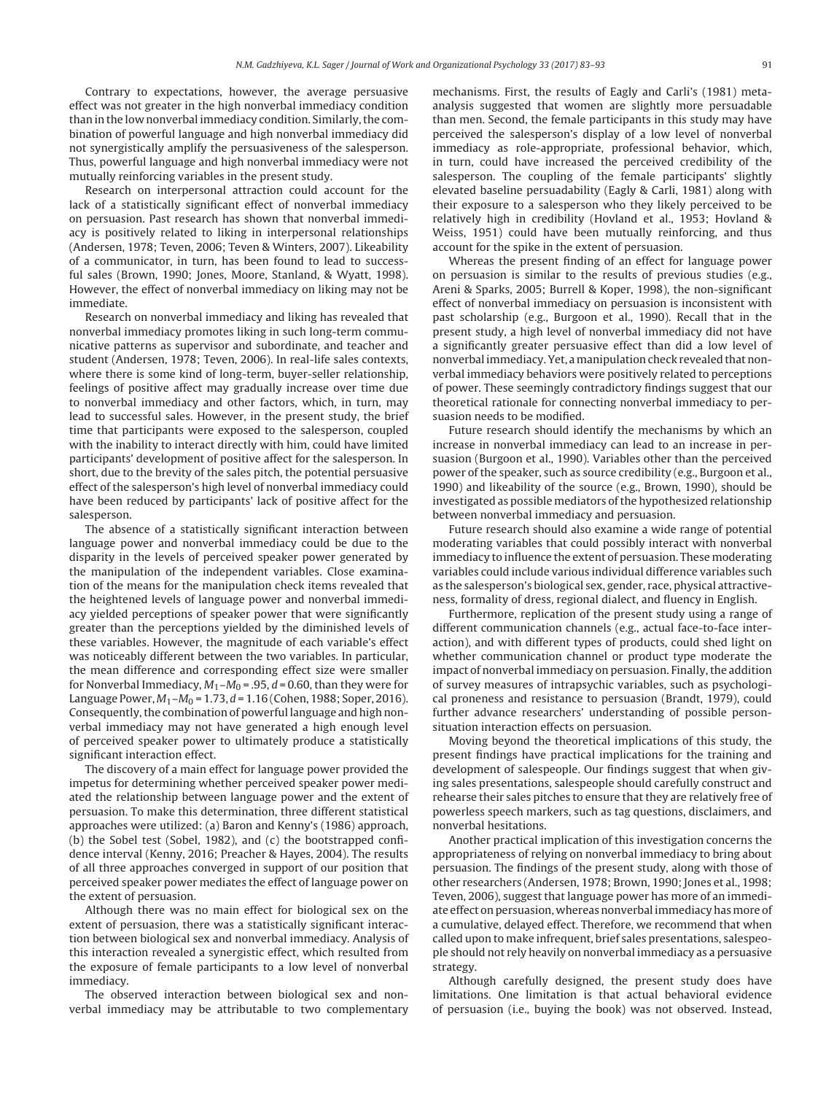Contrary to expectations, however, the average persuasive effect was not greater in the high nonverbal immediacy condition than in the low nonverbal immediacy condition. Similarly, the combination of powerful language and high nonverbal immediacy did not synergistically amplify the persuasiveness of the salesperson. Thus, powerful language and high nonverbal immediacy were not mutually reinforcing variables in the present study.

Research on interpersonal attraction could account for the lack of a statistically significant effect of nonverbal immediacy on persuasion. Past research has shown that nonverbal immediacy is positively related to liking in interpersonal relationships (Andersen, 1978; Teven, 2006; Teven & Winters, 2007). Likeability of a communicator, in turn, has been found to lead to successful sales (Brown, 1990; Jones, Moore, Stanland, & Wyatt, 1998). However, the effect of nonverbal immediacy on liking may not be immediate.

Research on nonverbal immediacy and liking has revealed that nonverbal immediacy promotes liking in such long-term communicative patterns as supervisor and subordinate, and teacher and student (Andersen, 1978; Teven, 2006). In real-life sales contexts, where there is some kind of long-term, buyer-seller relationship, feelings of positive affect may gradually increase over time due to nonverbal immediacy and other factors, which, in turn, may lead to successful sales. However, in the present study, the brief time that participants were exposed to the salesperson, coupled with the inability to interact directly with him, could have limited participants' development of positive affect for the salesperson. In short, due to the brevity of the sales pitch, the potential persuasive effect of the salesperson's high level of nonverbal immediacy could have been reduced by participants' lack of positive affect for the salesperson.

The absence of a statistically significant interaction between language power and nonverbal immediacy could be due to the disparity in the levels of perceived speaker power generated by the manipulation of the independent variables. Close examination of the means for the manipulation check items revealed that the heightened levels of language power and nonverbal immediacy yielded perceptions of speaker power that were significantly greater than the perceptions yielded by the diminished levels of these variables. However, the magnitude of each variable's effect was noticeably different between the two variables. In particular, the mean difference and corresponding effect size were smaller for Nonverbal Immediacy,  $M_1-M_0 = .95$ ,  $d = 0.60$ , than they were for Language Power,  $M_1-M_0 = 1.73$ ,  $d = 1.16$  (Cohen, 1988; Soper, 2016). Consequently, the combination of powerful language and high nonverbal immediacy may not have generated a high enough level of perceived speaker power to ultimately produce a statistically significant interaction effect.

The discovery of a main effect for language power provided the impetus for determining whether perceived speaker power mediated the relationship between language power and the extent of persuasion. To make this determination, three different statistical approaches were utilized: (a) Baron and Kenny's (1986) approach, (b) the Sobel test (Sobel, 1982), and (c) the bootstrapped confidence interval (Kenny, 2016; Preacher & Hayes, 2004). The results of all three approaches converged in support of our position that perceived speaker power mediates the effect of language power on the extent of persuasion.

Although there was no main effect for biological sex on the extent of persuasion, there was a statistically significant interaction between biological sex and nonverbal immediacy. Analysis of this interaction revealed a synergistic effect, which resulted from the exposure of female participants to a low level of nonverbal immediacy.

The observed interaction between biological sex and nonverbal immediacy may be attributable to two complementary mechanisms. First, the results of Eagly and Carli's (1981) metaanalysis suggested that women are slightly more persuadable than men. Second, the female participants in this study may have perceived the salesperson's display of a low level of nonverbal immediacy as role-appropriate, professional behavior, which, in turn, could have increased the perceived credibility of the salesperson. The coupling of the female participants' slightly elevated baseline persuadability (Eagly & Carli, 1981) along with their exposure to a salesperson who they likely perceived to be relatively high in credibility (Hovland et al., 1953; Hovland & Weiss, 1951) could have been mutually reinforcing, and thus account for the spike in the extent of persuasion.

Whereas the present finding of an effect for language power on persuasion is similar to the results of previous studies (e.g., Areni & Sparks, 2005; Burrell & Koper, 1998), the non-significant effect of nonverbal immediacy on persuasion is inconsistent with past scholarship (e.g., Burgoon et al., 1990). Recall that in the present study, a high level of nonverbal immediacy did not have a significantly greater persuasive effect than did a low level of nonverbal immediacy. Yet, amanipulation check revealed that nonverbal immediacy behaviors were positively related to perceptions of power. These seemingly contradictory findings suggest that our theoretical rationale for connecting nonverbal immediacy to persuasion needs to be modified.

Future research should identify the mechanisms by which an increase in nonverbal immediacy can lead to an increase in persuasion (Burgoon et al., 1990). Variables other than the perceived power of the speaker, such as source credibility (e.g., Burgoon et al., 1990) and likeability of the source (e.g., Brown, 1990), should be investigated as possible mediators of the hypothesized relationship between nonverbal immediacy and persuasion.

Future research should also examine a wide range of potential moderating variables that could possibly interact with nonverbal immediacy to influence the extent of persuasion. These moderating variables could include various individual difference variables such as the salesperson's biological sex, gender, race, physical attractiveness, formality of dress, regional dialect, and fluency in English.

Furthermore, replication of the present study using a range of different communication channels (e.g., actual face-to-face interaction), and with different types of products, could shed light on whether communication channel or product type moderate the impact of nonverbal immediacy on persuasion. Finally, the addition of survey measures of intrapsychic variables, such as psychological proneness and resistance to persuasion (Brandt, 1979), could further advance researchers' understanding of possible personsituation interaction effects on persuasion.

Moving beyond the theoretical implications of this study, the present findings have practical implications for the training and development of salespeople. Our findings suggest that when giving sales presentations, salespeople should carefully construct and rehearse their sales pitches to ensure that they are relatively free of powerless speech markers, such as tag questions, disclaimers, and nonverbal hesitations.

Another practical implication of this investigation concerns the appropriateness of relying on nonverbal immediacy to bring about persuasion. The findings of the present study, along with those of other researchers (Andersen, 1978; Brown, 1990; Jones et al., 1998; Teven, 2006), suggest that language power has more of an immediate effect on persuasion, whereas nonverbal immediacy has more of a cumulative, delayed effect. Therefore, we recommend that when called upon to make infrequent, brief sales presentations, salespeople should not rely heavily on nonverbal immediacy as a persuasive strategy.

Although carefully designed, the present study does have limitations. One limitation is that actual behavioral evidence of persuasion (i.e., buying the book) was not observed. Instead,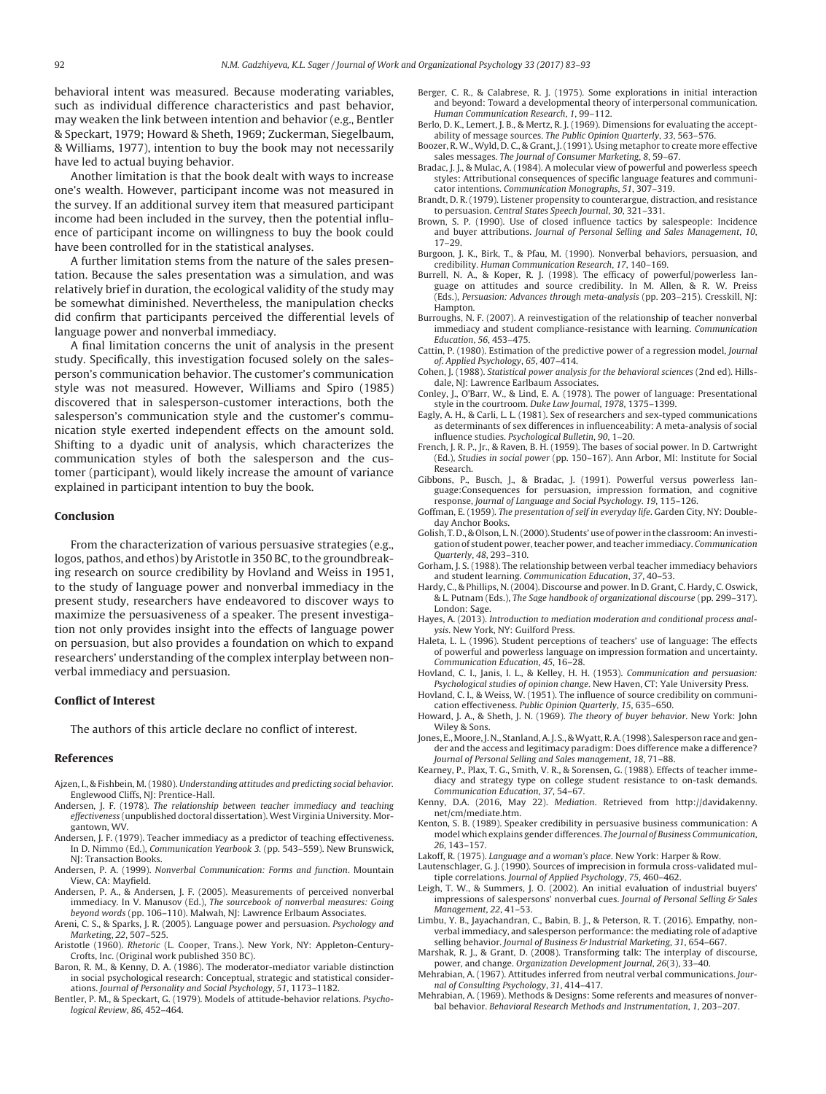behavioral intent was measured. Because moderating variables, such as individual difference characteristics and past behavior, may weaken the link between intention and behavior (e.g., Bentler & Speckart, 1979; Howard & Sheth, 1969; Zuckerman, Siegelbaum, & Williams, 1977), intention to buy the book may not necessarily have led to actual buying behavior.

Another limitation is that the book dealt with ways to increase one's wealth. However, participant income was not measured in the survey. If an additional survey item that measured participant income had been included in the survey, then the potential influence of participant income on willingness to buy the book could have been controlled for in the statistical analyses.

A further limitation stems from the nature of the sales presentation. Because the sales presentation was a simulation, and was relatively brief in duration, the ecological validity of the study may be somewhat diminished. Nevertheless, the manipulation checks did confirm that participants perceived the differential levels of language power and nonverbal immediacy.

A final limitation concerns the unit of analysis in the present study. Specifically, this investigation focused solely on the salesperson's communication behavior. The customer's communication style was not measured. However, Williams and Spiro (1985) discovered that in salesperson-customer interactions, both the salesperson's communication style and the customer's communication style exerted independent effects on the amount sold. Shifting to a dyadic unit of analysis, which characterizes the communication styles of both the salesperson and the customer (participant), would likely increase the amount of variance explained in participant intention to buy the book.

#### **Conclusion**

From the characterization of various persuasive strategies (e.g., logos, pathos, and ethos) by Aristotle in 350 BC, to the groundbreaking research on source credibility by Hovland and Weiss in 1951, to the study of language power and nonverbal immediacy in the present study, researchers have endeavored to discover ways to maximize the persuasiveness of a speaker. The present investigation not only provides insight into the effects of language power on persuasion, but also provides a foundation on which to expand researchers' understanding of the complex interplay between nonverbal immediacy and persuasion.

## **Conflict of Interest**

The authors of this article declare no conflict of interest.

## **References**

- Ajzen, I., & Fishbein, M. (1980). Understanding attitudes and predicting social behavior. Englewood Cliffs, NJ: Prentice-Hall.
- Andersen, J. F. (1978). The relationship between teacher immediacy and teaching effectiveness (unpublished doctoral dissertation). West Virginia University. Morgantown, WV.
- Andersen, J. F. (1979). Teacher immediacy as a predictor of teaching effectiveness. In D. Nimmo (Ed.), Communication Yearbook 3. (pp. 543–559). New Brunswick, NJ: Transaction Books
- Andersen, P. A. (1999). Nonverbal Communication: Forms and function. Mountain View, CA: Mayfield.
- Andersen, P. A., & Andersen, J. F. (2005). Measurements of perceived nonverbal immediacy. In V. Manusov (Ed.), The sourcebook of nonverbal measures: Going beyond words (pp. 106–110). Malwah, NJ: Lawrence Erlbaum Associates.
- Areni, C. S., & Sparks, J. R. (2005). Language power and persuasion. Psychology and Marketing, 22, 507–525.
- Aristotle (1960). Rhetoric (L. Cooper, Trans.). New York, NY: Appleton-Century-Crofts, Inc. (Original work published 350 BC).
- Baron, R. M., & Kenny, D. A. (1986). The moderator-mediator variable distinction in social psychological research: Conceptual, strategic and statistical considerations. Journal of Personality and Social Psychology, 51, 1173–1182.
- Bentler, P. M., & Speckart, G. (1979). Models of attitude-behavior relations. Psychological Review, 86, 452–464.
- Berger, C. R., & Calabrese, R. J. (1975). Some explorations in initial interaction and beyond: Toward a developmental theory of interpersonal communication. Human Communication Research, 1, 99–112.
- Berlo, D. K., Lemert, J. B., & Mertz, R. J. (1969). Dimensions for evaluating the acceptability of message sources. The Public Opinion Quarterly, 33, 563–576.
- Boozer, R. W., Wyld, D. C., & Grant, J. (1991). Using metaphor to create more effective sales messages. The Journal of Consumer Marketing, 8, 59–67.
- Bradac, J. J., & Mulac, A. (1984). A molecular view of powerful and powerless speech styles: Attributional consequences of specific language features and communicator intentions. Communication Monographs, 51, 307–319.
- Brandt, D. R. (1979). Listener propensity to counterargue, distraction, and resistance to persuasion. Central States Speech Journal, 30, 321–331.
- Brown, S. P. (1990). Use of closed influence tactics by salespeople: Incidence and buyer attributions. Journal of Personal Selling and Sales Management, 10, 17–29.
- Burgoon, J. K., Birk, T., & Pfau, M. (1990). Nonverbal behaviors, persuasion, and credibility. Human Communication Research, 17, 140–169.
- Burrell, N. A., & Koper, R. J. (1998). The efficacy of powerful/powerless language on attitudes and source credibility. In M. Allen, & R. W. Preiss (Eds.), Persuasion: Advances through meta-analysis (pp. 203–215). Cresskill, NJ: Hampton.
- Burroughs, N. F. (2007). A reinvestigation of the relationship of teacher nonverbal immediacy and student compliance-resistance with learning. Communication Education, 56, 453–475.
- Cattin, P. (1980). Estimation of the predictive power of a regression model, Journal of. Applied Psychology, 65, 407–414.
- Cohen, J. (1988). Statistical power analysis for the behavioral sciences (2nd ed). Hillsdale, NJ: Lawrence Earlbaum Associates
- Conley, J., O'Barr, W., & Lind, E. A. (1978). The power of language: Presentational style in the courtroom. Duke Law Journal, 1978, 1375–1399.
- Eagly, A. H., & Carli, L. L. (1981). Sex of researchers and sex-typed communications as determinants of sex differences in influenceability: A meta-analysis of social influence studies. Psychological Bulletin, 90, 1–20.
- French, J. R. P., Jr., & Raven, B. H. (1959). The bases of social power. In D. Cartwright (Ed.), Studies in social power (pp. 150–167). Ann Arbor, MI: Institute for Social Research.
- Gibbons, P., Busch, J., & Bradac, J. (1991). Powerful versus powerless language:Consequences for persuasion, impression formation, and cognitive response, Journal of Language and Social Psychology. 19, 115–126.
- Goffman, E. (1959). The presentation of self in everyday life. Garden City, NY: Doubleday Anchor Books.
- Golish, T. D., & Olson, L. N. (2000). Students' use of power in the classroom: An investigation of student power, teacher power, and teacher immediacy. Communication Quarterly, 48, 293–310.
- Gorham, J. S. (1988). The relationship between verbal teacher immediacy behaviors and student learning. Communication Education, 37, 40–53.
- Hardy, C., & Phillips, N. (2004). Discourse and power. In D. Grant, C. Hardy, C. Oswick, & L. Putnam (Eds.), The Sage handbook of organizational discourse (pp. 299–317). London: Sage.
- Hayes, A. (2013). Introduction to mediation moderation and conditional process analysis. New York, NY: Guilford Press.
- Haleta, L. L. (1996). Student perceptions of teachers' use of language: The effects of powerful and powerless language on impression formation and uncertainty. Communication Education, 45, 16–28.
- Hovland, C. I., Janis, I. L., & Kelley, H. H. (1953). Communication and persuasion: Psychological studies of opinion change. New Haven, CT: Yale University Press.
- Hovland, C. I., & Weiss, W. (1951). The influence of source credibility on communication effectiveness. Public Opinion Quarterly, 15, 635–650.
- Howard, J. A., & Sheth, J. N. (1969). The theory of buyer behavior. New York: John Wiley & Sons.
- Jones, E., Moore, J. N., Stanland, A. J. S., & Wyatt, R. A. (1998). Salesperson race and gender and the access and legitimacy paradigm: Does difference make a difference? Journal of Personal Selling and Sales management, 18, 71–88.
- Kearney, P., Plax, T. G., Smith, V. R., & Sorensen, G. (1988). Effects of teacher immediacy and strategy type on college student resistance to on-task demands. Communication Education, 37, 54–67.
- Kenny, D.A. (2016, May 22). Mediation. Retrieved from http://davidakenny. net/cm/mediate.htm.
- Kenton, S. B. (1989). Speaker credibility in persuasive business communication: A model which explains gender differences. The Journal of Business Communication, 26, 143–157.
- Lakoff, R. (1975). Language and a woman's place. New York: Harper & Row.
- Lautenschlager, G. J. (1990). Sources of imprecision in formula cross-validated multiple correlations. Journal of Applied Psychology, 75, 460–462.
- Leigh, T. W., & Summers, J. O. (2002). An initial evaluation of industrial buyers' impressions of salespersons' nonverbal cues. Journal of Personal Selling & Sales Management, 22, 41–53.
- Limbu, Y. B., Jayachandran, C., Babin, B. J., & Peterson, R. T. (2016). Empathy, nonverbal immediacy, and salesperson performance: the mediating role of adaptive selling behavior. Journal of Business & Industrial Marketing, 31, 654–667.
- Marshak, R. J., & Grant, D. (2008). Transforming talk: The interplay of discourse, power, and change. Organization Development Journal, 26(3), 33–40.
- Mehrabian, A. (1967). Attitudes inferred from neutral verbal communications. Journal of Consulting Psychology, 31, 414–417.
- Mehrabian, A. (1969). Methods & Designs: Some referents and measures of nonverbal behavior. Behavioral Research Methods and Instrumentation, 1, 203–207.